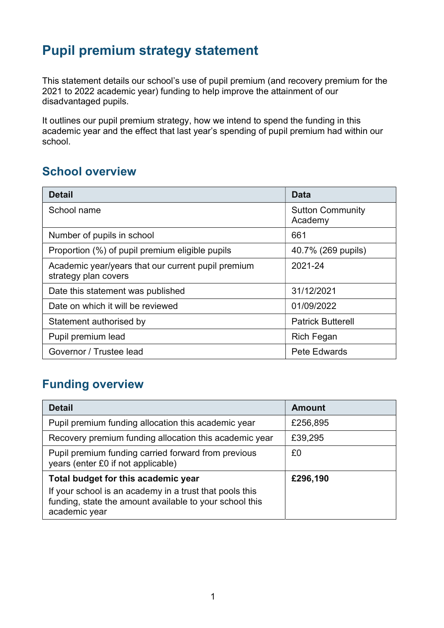## Pupil premium strategy statement

This statement details our school's use of pupil premium (and recovery premium for the 2021 to 2022 academic year) funding to help improve the attainment of our disadvantaged pupils.

It outlines our pupil premium strategy, how we intend to spend the funding in this academic year and the effect that last year's spending of pupil premium had within our school.

#### School overview

| <b>Detail</b>                                                              | Data                               |
|----------------------------------------------------------------------------|------------------------------------|
| School name                                                                | <b>Sutton Community</b><br>Academy |
| Number of pupils in school                                                 | 661                                |
| Proportion (%) of pupil premium eligible pupils                            | 40.7% (269 pupils)                 |
| Academic year/years that our current pupil premium<br>strategy plan covers | 2021-24                            |
| Date this statement was published                                          | 31/12/2021                         |
| Date on which it will be reviewed                                          | 01/09/2022                         |
| Statement authorised by                                                    | <b>Patrick Butterell</b>           |
| Pupil premium lead                                                         | <b>Rich Fegan</b>                  |
| Governor / Trustee lead                                                    | <b>Pete Edwards</b>                |

#### Funding overview

| <b>Detail</b>                                                                                                                       | <b>Amount</b> |
|-------------------------------------------------------------------------------------------------------------------------------------|---------------|
| Pupil premium funding allocation this academic year                                                                                 | £256,895      |
| Recovery premium funding allocation this academic year                                                                              | £39,295       |
| Pupil premium funding carried forward from previous<br>years (enter £0 if not applicable)                                           | £0            |
| Total budget for this academic year                                                                                                 | £296,190      |
| If your school is an academy in a trust that pools this<br>funding, state the amount available to your school this<br>academic year |               |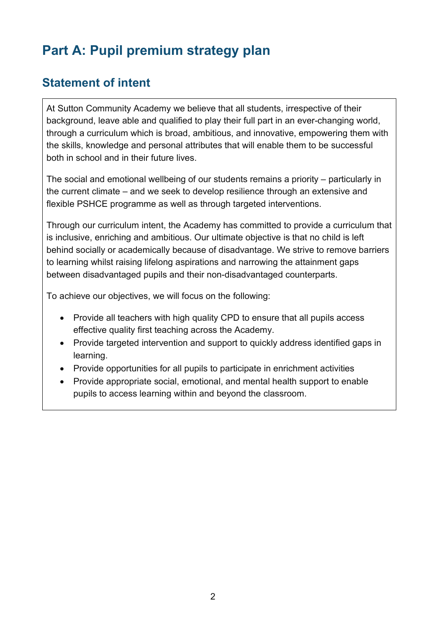# Part A: Pupil premium strategy plan

### Statement of intent

At Sutton Community Academy we believe that all students, irrespective of their background, leave able and qualified to play their full part in an ever-changing world, through a curriculum which is broad, ambitious, and innovative, empowering them with the skills, knowledge and personal attributes that will enable them to be successful both in school and in their future lives.

The social and emotional wellbeing of our students remains a priority – particularly in the current climate – and we seek to develop resilience through an extensive and flexible PSHCE programme as well as through targeted interventions.

Through our curriculum intent, the Academy has committed to provide a curriculum that is inclusive, enriching and ambitious. Our ultimate objective is that no child is left behind socially or academically because of disadvantage. We strive to remove barriers to learning whilst raising lifelong aspirations and narrowing the attainment gaps between disadvantaged pupils and their non-disadvantaged counterparts.

To achieve our objectives, we will focus on the following:

- Provide all teachers with high quality CPD to ensure that all pupils access effective quality first teaching across the Academy.
- Provide targeted intervention and support to quickly address identified gaps in learning.
- Provide opportunities for all pupils to participate in enrichment activities
- Provide appropriate social, emotional, and mental health support to enable pupils to access learning within and beyond the classroom.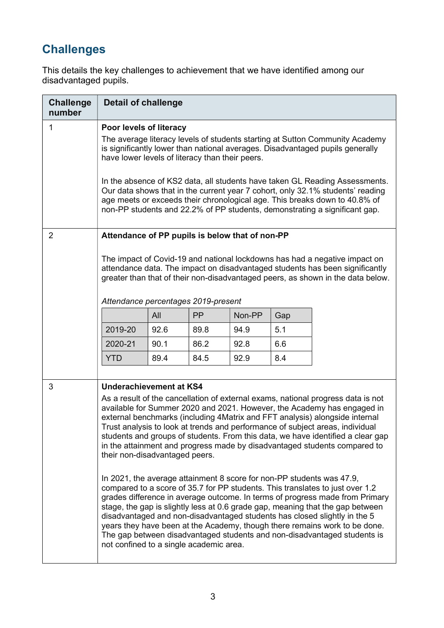## **Challenges**

This details the key challenges to achievement that we have identified among our disadvantaged pupils.

| <b>Challenge</b><br>number | <b>Detail of challenge</b>                                                                                                                                                                                                                                                                                                                                                                                                                                                                                                                                               |      |           |        |     |                                                                                                                                                                                                                                                                                                                                                                                                                                                                                                                                                                                                                                                                                                                                                                                                                                                                                                                                                                                                                                                                |
|----------------------------|--------------------------------------------------------------------------------------------------------------------------------------------------------------------------------------------------------------------------------------------------------------------------------------------------------------------------------------------------------------------------------------------------------------------------------------------------------------------------------------------------------------------------------------------------------------------------|------|-----------|--------|-----|----------------------------------------------------------------------------------------------------------------------------------------------------------------------------------------------------------------------------------------------------------------------------------------------------------------------------------------------------------------------------------------------------------------------------------------------------------------------------------------------------------------------------------------------------------------------------------------------------------------------------------------------------------------------------------------------------------------------------------------------------------------------------------------------------------------------------------------------------------------------------------------------------------------------------------------------------------------------------------------------------------------------------------------------------------------|
| 1                          | Poor levels of literacy<br>The average literacy levels of students starting at Sutton Community Academy<br>is significantly lower than national averages. Disadvantaged pupils generally<br>have lower levels of literacy than their peers.<br>In the absence of KS2 data, all students have taken GL Reading Assessments.<br>Our data shows that in the current year 7 cohort, only 32.1% students' reading<br>age meets or exceeds their chronological age. This breaks down to 40.8% of<br>non-PP students and 22.2% of PP students, demonstrating a significant gap. |      |           |        |     |                                                                                                                                                                                                                                                                                                                                                                                                                                                                                                                                                                                                                                                                                                                                                                                                                                                                                                                                                                                                                                                                |
| $\overline{2}$             | Attendance of PP pupils is below that of non-PP<br>The impact of Covid-19 and national lockdowns has had a negative impact on<br>attendance data. The impact on disadvantaged students has been significantly<br>greater than that of their non-disadvantaged peers, as shown in the data below.<br>Attendance percentages 2019-present                                                                                                                                                                                                                                  |      |           |        |     |                                                                                                                                                                                                                                                                                                                                                                                                                                                                                                                                                                                                                                                                                                                                                                                                                                                                                                                                                                                                                                                                |
|                            |                                                                                                                                                                                                                                                                                                                                                                                                                                                                                                                                                                          | All  | <b>PP</b> | Non-PP | Gap |                                                                                                                                                                                                                                                                                                                                                                                                                                                                                                                                                                                                                                                                                                                                                                                                                                                                                                                                                                                                                                                                |
|                            | 2019-20                                                                                                                                                                                                                                                                                                                                                                                                                                                                                                                                                                  | 92.6 | 89.8      | 94.9   | 5.1 |                                                                                                                                                                                                                                                                                                                                                                                                                                                                                                                                                                                                                                                                                                                                                                                                                                                                                                                                                                                                                                                                |
|                            | 2020-21                                                                                                                                                                                                                                                                                                                                                                                                                                                                                                                                                                  | 90.1 | 86.2      | 92.8   | 6.6 |                                                                                                                                                                                                                                                                                                                                                                                                                                                                                                                                                                                                                                                                                                                                                                                                                                                                                                                                                                                                                                                                |
|                            | <b>YTD</b>                                                                                                                                                                                                                                                                                                                                                                                                                                                                                                                                                               | 89.4 | 84.5      | 92.9   | 8.4 |                                                                                                                                                                                                                                                                                                                                                                                                                                                                                                                                                                                                                                                                                                                                                                                                                                                                                                                                                                                                                                                                |
| 3                          | Underachievement at KS4<br>their non-disadvantaged peers.<br>not confined to a single academic area.                                                                                                                                                                                                                                                                                                                                                                                                                                                                     |      |           |        |     | As a result of the cancellation of external exams, national progress data is not<br>available for Summer 2020 and 2021. However, the Academy has engaged in<br>external benchmarks (including 4Matrix and FFT analysis) alongside internal<br>Trust analysis to look at trends and performance of subject areas, individual<br>students and groups of students. From this data, we have identified a clear gap<br>in the attainment and progress made by disadvantaged students compared to<br>In 2021, the average attainment 8 score for non-PP students was 47.9,<br>compared to a score of 35.7 for PP students. This translates to just over 1.2<br>grades difference in average outcome. In terms of progress made from Primary<br>stage, the gap is slightly less at 0.6 grade gap, meaning that the gap between<br>disadvantaged and non-disadvantaged students has closed slightly in the 5<br>years they have been at the Academy, though there remains work to be done.<br>The gap between disadvantaged students and non-disadvantaged students is |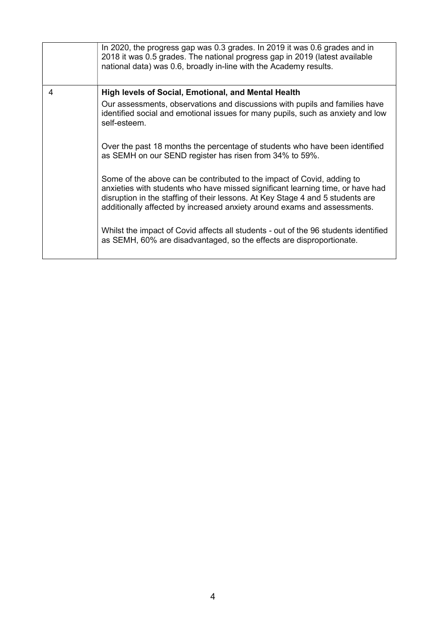|   | In 2020, the progress gap was 0.3 grades. In 2019 it was 0.6 grades and in<br>2018 it was 0.5 grades. The national progress gap in 2019 (latest available<br>national data) was 0.6, broadly in-line with the Academy results.                                                                                         |
|---|------------------------------------------------------------------------------------------------------------------------------------------------------------------------------------------------------------------------------------------------------------------------------------------------------------------------|
| 4 | High levels of Social, Emotional, and Mental Health                                                                                                                                                                                                                                                                    |
|   | Our assessments, observations and discussions with pupils and families have<br>identified social and emotional issues for many pupils, such as anxiety and low<br>self-esteem.                                                                                                                                         |
|   | Over the past 18 months the percentage of students who have been identified<br>as SEMH on our SEND register has risen from 34% to 59%.                                                                                                                                                                                 |
|   | Some of the above can be contributed to the impact of Covid, adding to<br>anxieties with students who have missed significant learning time, or have had<br>disruption in the staffing of their lessons. At Key Stage 4 and 5 students are<br>additionally affected by increased anxiety around exams and assessments. |
|   | Whilst the impact of Covid affects all students - out of the 96 students identified<br>as SEMH, 60% are disadvantaged, so the effects are disproportionate.                                                                                                                                                            |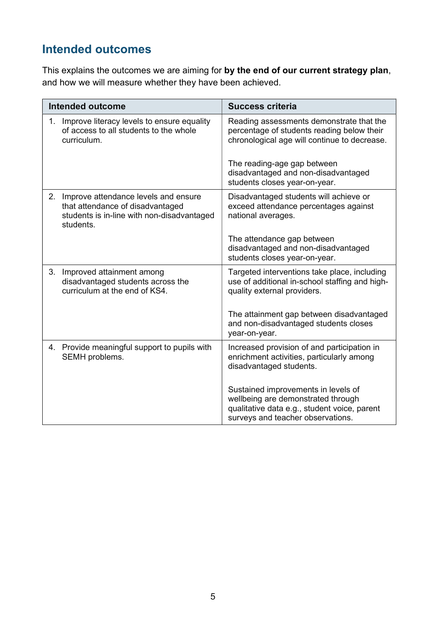## Intended outcomes

This explains the outcomes we are aiming for by the end of our current strategy plan, and how we will measure whether they have been achieved.

|    | Intended outcome                                                                                                                    | <b>Success criteria</b>                                                                                                                                        |
|----|-------------------------------------------------------------------------------------------------------------------------------------|----------------------------------------------------------------------------------------------------------------------------------------------------------------|
| 1. | Improve literacy levels to ensure equality<br>of access to all students to the whole<br>curriculum.                                 | Reading assessments demonstrate that the<br>percentage of students reading below their<br>chronological age will continue to decrease.                         |
|    |                                                                                                                                     | The reading-age gap between<br>disadvantaged and non-disadvantaged<br>students closes year-on-year.                                                            |
| 2. | Improve attendance levels and ensure<br>that attendance of disadvantaged<br>students is in-line with non-disadvantaged<br>students. | Disadvantaged students will achieve or<br>exceed attendance percentages against<br>national averages.                                                          |
|    |                                                                                                                                     | The attendance gap between<br>disadvantaged and non-disadvantaged<br>students closes year-on-year.                                                             |
| 3. | Improved attainment among<br>disadvantaged students across the<br>curriculum at the end of KS4.                                     | Targeted interventions take place, including<br>use of additional in-school staffing and high-<br>quality external providers.                                  |
|    |                                                                                                                                     | The attainment gap between disadvantaged<br>and non-disadvantaged students closes<br>year-on-year.                                                             |
|    | 4. Provide meaningful support to pupils with<br>SEMH problems.                                                                      | Increased provision of and participation in<br>enrichment activities, particularly among<br>disadvantaged students.                                            |
|    |                                                                                                                                     | Sustained improvements in levels of<br>wellbeing are demonstrated through<br>qualitative data e.g., student voice, parent<br>surveys and teacher observations. |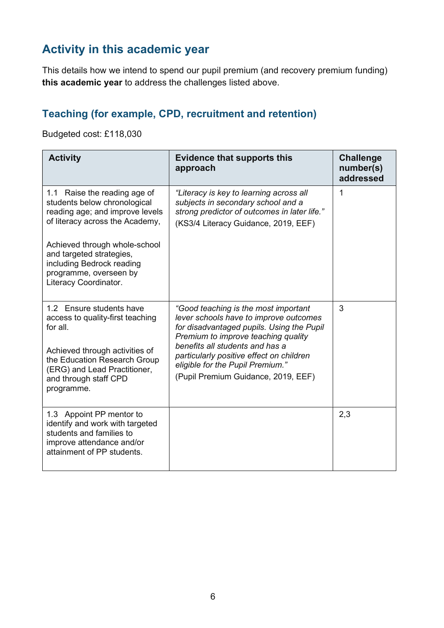## Activity in this academic year

This details how we intend to spend our pupil premium (and recovery premium funding) this academic year to address the challenges listed above.

#### Teaching (for example, CPD, recruitment and retention)

Budgeted cost: £118,030

| <b>Activity</b>                                                                                                                                    | <b>Evidence that supports this</b><br>approach                                                                                                                        | <b>Challenge</b><br>number(s)<br>addressed |
|----------------------------------------------------------------------------------------------------------------------------------------------------|-----------------------------------------------------------------------------------------------------------------------------------------------------------------------|--------------------------------------------|
| 1.1 Raise the reading age of<br>students below chronological<br>reading age; and improve levels<br>of literacy across the Academy,                 | "Literacy is key to learning across all<br>subjects in secondary school and a<br>strong predictor of outcomes in later life."<br>(KS3/4 Literacy Guidance, 2019, EEF) | 1                                          |
| Achieved through whole-school<br>and targeted strategies,<br>including Bedrock reading<br>programme, overseen by<br>Literacy Coordinator.          |                                                                                                                                                                       |                                            |
| 1.2 Ensure students have<br>access to quality-first teaching<br>for all.                                                                           | "Good teaching is the most important<br>lever schools have to improve outcomes<br>for disadvantaged pupils. Using the Pupil<br>Premium to improve teaching quality    | 3                                          |
| Achieved through activities of<br>the Education Research Group<br>(ERG) and Lead Practitioner,<br>and through staff CPD<br>programme.              | benefits all students and has a<br>particularly positive effect on children<br>eligible for the Pupil Premium."<br>(Pupil Premium Guidance, 2019, EEF)                |                                            |
| 1.3 Appoint PP mentor to<br>identify and work with targeted<br>students and families to<br>improve attendance and/or<br>attainment of PP students. |                                                                                                                                                                       | 2,3                                        |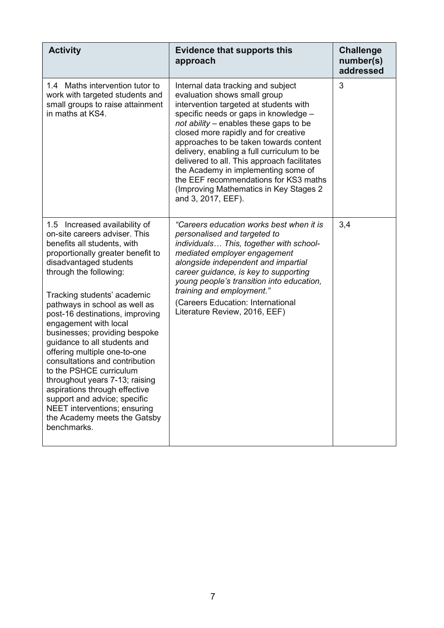| <b>Activity</b>                                                                                                                                                                                                                                                                                                                                                                                                                                                                                                                                                                                                                                                    | <b>Evidence that supports this</b><br>approach                                                                                                                                                                                                                                                                                                                                                                                                                                                                                  | <b>Challenge</b><br>number(s)<br>addressed |
|--------------------------------------------------------------------------------------------------------------------------------------------------------------------------------------------------------------------------------------------------------------------------------------------------------------------------------------------------------------------------------------------------------------------------------------------------------------------------------------------------------------------------------------------------------------------------------------------------------------------------------------------------------------------|---------------------------------------------------------------------------------------------------------------------------------------------------------------------------------------------------------------------------------------------------------------------------------------------------------------------------------------------------------------------------------------------------------------------------------------------------------------------------------------------------------------------------------|--------------------------------------------|
| 1.4 Maths intervention tutor to<br>work with targeted students and<br>small groups to raise attainment<br>in maths at KS4.                                                                                                                                                                                                                                                                                                                                                                                                                                                                                                                                         | Internal data tracking and subject<br>evaluation shows small group<br>intervention targeted at students with<br>specific needs or gaps in knowledge -<br>not ability – enables these gaps to be<br>closed more rapidly and for creative<br>approaches to be taken towards content<br>delivery, enabling a full curriculum to be<br>delivered to all. This approach facilitates<br>the Academy in implementing some of<br>the EEF recommendations for KS3 maths<br>(Improving Mathematics in Key Stages 2)<br>and 3, 2017, EEF). | 3                                          |
| 1.5 Increased availability of<br>on-site careers adviser. This<br>benefits all students, with<br>proportionally greater benefit to<br>disadvantaged students<br>through the following:<br>Tracking students' academic<br>pathways in school as well as<br>post-16 destinations, improving<br>engagement with local<br>businesses; providing bespoke<br>guidance to all students and<br>offering multiple one-to-one<br>consultations and contribution<br>to the PSHCE curriculum<br>throughout years 7-13; raising<br>aspirations through effective<br>support and advice; specific<br>NEET interventions; ensuring<br>the Academy meets the Gatsby<br>benchmarks. | "Careers education works best when it is<br>personalised and targeted to<br>individuals This, together with school-<br>mediated employer engagement<br>alongside independent and impartial<br>career guidance, is key to supporting<br>young people's transition into education,<br>training and employment."<br>(Careers Education: International<br>Literature Review, 2016, EEF)                                                                                                                                             | 3,4                                        |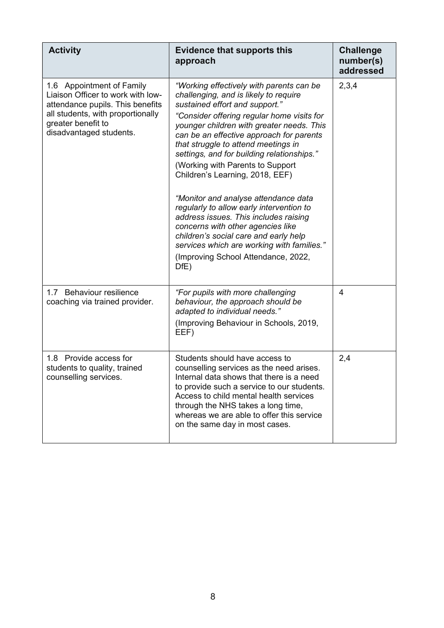| <b>Activity</b>                                                                                                                                                                          | <b>Evidence that supports this</b><br>approach                                                                                                                                                                                                                                                                                                                                                                                                                                                                                                                                                                                                                                                                                 | <b>Challenge</b><br>number(s)<br>addressed |
|------------------------------------------------------------------------------------------------------------------------------------------------------------------------------------------|--------------------------------------------------------------------------------------------------------------------------------------------------------------------------------------------------------------------------------------------------------------------------------------------------------------------------------------------------------------------------------------------------------------------------------------------------------------------------------------------------------------------------------------------------------------------------------------------------------------------------------------------------------------------------------------------------------------------------------|--------------------------------------------|
| 1.6 Appointment of Family<br>Liaison Officer to work with low-<br>attendance pupils. This benefits<br>all students, with proportionally<br>greater benefit to<br>disadvantaged students. | "Working effectively with parents can be<br>challenging, and is likely to require<br>sustained effort and support."<br>"Consider offering regular home visits for<br>younger children with greater needs. This<br>can be an effective approach for parents<br>that struggle to attend meetings in<br>settings, and for building relationships."<br>(Working with Parents to Support<br>Children's Learning, 2018, EEF)<br>"Monitor and analyse attendance data<br>regularly to allow early intervention to<br>address issues. This includes raising<br>concerns with other agencies like<br>children's social care and early help<br>services which are working with families."<br>(Improving School Attendance, 2022,<br>DfE) | 2,3,4                                      |
| 1.7 Behaviour resilience<br>coaching via trained provider.                                                                                                                               | "For pupils with more challenging<br>behaviour, the approach should be<br>adapted to individual needs."<br>(Improving Behaviour in Schools, 2019,<br>EEF)                                                                                                                                                                                                                                                                                                                                                                                                                                                                                                                                                                      | $\overline{4}$                             |
| 1.8 Provide access for<br>students to quality, trained<br>counselling services.                                                                                                          | Students should have access to<br>counselling services as the need arises.<br>Internal data shows that there is a need<br>to provide such a service to our students.<br>Access to child mental health services<br>through the NHS takes a long time,<br>whereas we are able to offer this service<br>on the same day in most cases.                                                                                                                                                                                                                                                                                                                                                                                            | 2,4                                        |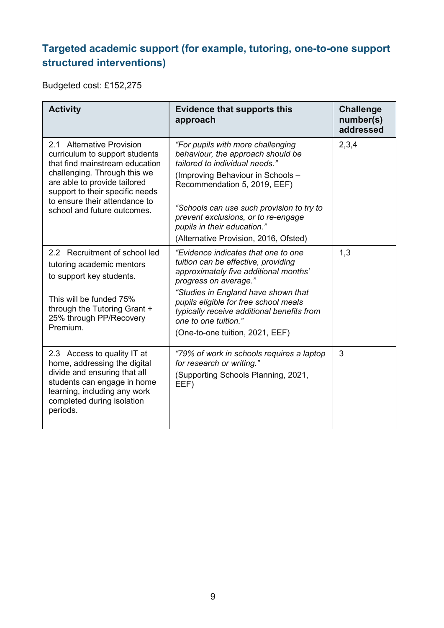#### Targeted academic support (for example, tutoring, one-to-one support structured interventions)

Budgeted cost: £152,275

| <b>Activity</b>                                                                                                                                                                                                                                                  | <b>Evidence that supports this</b><br>approach                                                                                                                                                                                                                                                                                            | <b>Challenge</b><br>number(s)<br>addressed |
|------------------------------------------------------------------------------------------------------------------------------------------------------------------------------------------------------------------------------------------------------------------|-------------------------------------------------------------------------------------------------------------------------------------------------------------------------------------------------------------------------------------------------------------------------------------------------------------------------------------------|--------------------------------------------|
| 2.1 Alternative Provision<br>curriculum to support students<br>that find mainstream education<br>challenging. Through this we<br>are able to provide tailored<br>support to their specific needs<br>to ensure their attendance to<br>school and future outcomes. | "For pupils with more challenging<br>behaviour, the approach should be<br>tailored to individual needs."<br>(Improving Behaviour in Schools -<br>Recommendation 5, 2019, EEF)<br>"Schools can use such provision to try to<br>prevent exclusions, or to re-engage<br>pupils in their education."<br>(Alternative Provision, 2016, Ofsted) | 2,3,4                                      |
| 2.2 Recruitment of school led<br>tutoring academic mentors<br>to support key students.<br>This will be funded 75%<br>through the Tutoring Grant +<br>25% through PP/Recovery<br>Premium.                                                                         | "Evidence indicates that one to one<br>tuition can be effective, providing<br>approximately five additional months'<br>progress on average."<br>"Studies in England have shown that<br>pupils eligible for free school meals<br>typically receive additional benefits from<br>one to one tuition."<br>(One-to-one tuition, 2021, EEF)     | 1,3                                        |
| 2.3 Access to quality IT at<br>home, addressing the digital<br>divide and ensuring that all<br>students can engage in home<br>learning, including any work<br>completed during isolation<br>periods.                                                             | "79% of work in schools requires a laptop<br>for research or writing."<br>(Supporting Schools Planning, 2021,<br>EEF)                                                                                                                                                                                                                     | 3                                          |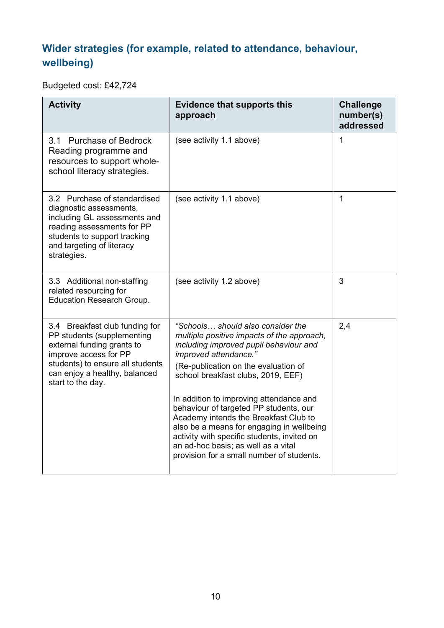#### Wider strategies (for example, related to attendance, behaviour, wellbeing)

Budgeted cost: £42,724

| <b>Evidence that supports this</b><br>approach                                                                                                                                                                                                                                                                                                                                                                                                                                                    | <b>Challenge</b><br>number(s)<br>addressed |
|---------------------------------------------------------------------------------------------------------------------------------------------------------------------------------------------------------------------------------------------------------------------------------------------------------------------------------------------------------------------------------------------------------------------------------------------------------------------------------------------------|--------------------------------------------|
| (see activity 1.1 above)                                                                                                                                                                                                                                                                                                                                                                                                                                                                          | 1                                          |
| (see activity 1.1 above)                                                                                                                                                                                                                                                                                                                                                                                                                                                                          | 1                                          |
| (see activity 1.2 above)                                                                                                                                                                                                                                                                                                                                                                                                                                                                          | 3                                          |
| "Schools should also consider the<br>multiple positive impacts of the approach,<br>including improved pupil behaviour and<br>improved attendance."<br>(Re-publication on the evaluation of<br>school breakfast clubs, 2019, EEF)<br>In addition to improving attendance and<br>behaviour of targeted PP students, our<br>Academy intends the Breakfast Club to<br>also be a means for engaging in wellbeing<br>activity with specific students, invited on<br>an ad-hoc basis; as well as a vital | 2,4                                        |
|                                                                                                                                                                                                                                                                                                                                                                                                                                                                                                   | provision for a small number of students.  |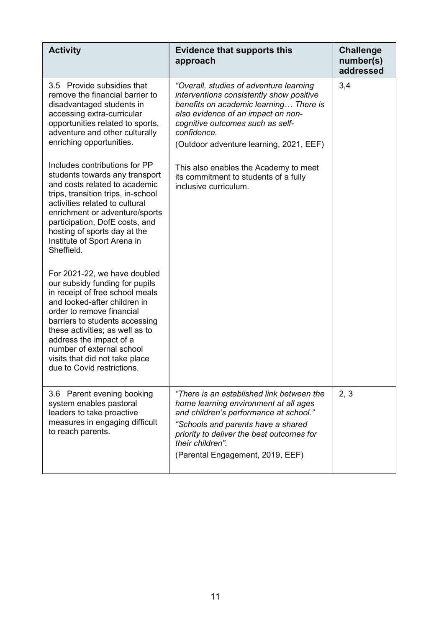| <b>Activity</b>                                                                                                                                                                                                                                                                                                                                             | <b>Evidence that supports this</b><br>approach                                                                                                                                                                                                                          | <b>Challenge</b><br>number(s)<br>addressed |
|-------------------------------------------------------------------------------------------------------------------------------------------------------------------------------------------------------------------------------------------------------------------------------------------------------------------------------------------------------------|-------------------------------------------------------------------------------------------------------------------------------------------------------------------------------------------------------------------------------------------------------------------------|--------------------------------------------|
| 3.5 Provide subsidies that<br>remove the financial barrier to<br>disadvantaged students in<br>accessing extra-curricular<br>opportunities related to sports,<br>adventure and other culturally<br>enriching opportunities.                                                                                                                                  | "Overall, studies of adventure learning<br>interventions consistently show positive<br>benefits on academic learning There is<br>also evidence of an impact on non-<br>cognitive outcomes such as self-<br>confidence.<br>(Outdoor adventure learning, 2021, EEF)       | 3,4                                        |
| Includes contributions for PP<br>students towards any transport<br>and costs related to academic<br>trips, transition trips, in-school<br>activities related to cultural<br>enrichment or adventure/sports<br>participation, DofE costs, and<br>hosting of sports day at the<br>Institute of Sport Arena in<br>Sheffield.                                   | This also enables the Academy to meet<br>its commitment to students of a fully<br>inclusive curriculum.                                                                                                                                                                 |                                            |
| For 2021-22, we have doubled<br>our subsidy funding for pupils<br>in receipt of free school meals<br>and looked-after children in<br>order to remove financial<br>barriers to students accessing<br>these activities; as well as to<br>address the impact of a<br>number of external school<br>visits that did not take place<br>due to Covid restrictions. |                                                                                                                                                                                                                                                                         |                                            |
| 3.6 Parent evening booking<br>system enables pastoral<br>leaders to take proactive<br>measures in engaging difficult<br>to reach parents.                                                                                                                                                                                                                   | "There is an established link between the<br>home learning environment at all ages<br>and children's performance at school."<br>"Schools and parents have a shared<br>priority to deliver the best outcomes for<br>their children".<br>(Parental Engagement, 2019, EEF) | 2, 3                                       |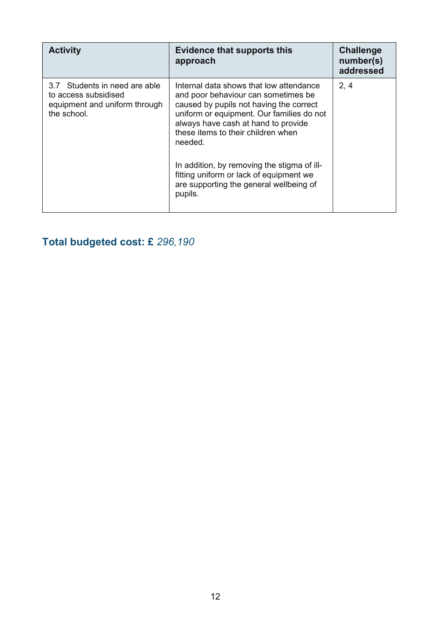| <b>Activity</b>                                                                                         | <b>Evidence that supports this</b><br>approach                                                                                                                                                                                                                 | <b>Challenge</b><br>number(s)<br>addressed |
|---------------------------------------------------------------------------------------------------------|----------------------------------------------------------------------------------------------------------------------------------------------------------------------------------------------------------------------------------------------------------------|--------------------------------------------|
| Students in need are able<br>37<br>to access subsidised<br>equipment and uniform through<br>the school. | Internal data shows that low attendance<br>and poor behaviour can sometimes be<br>caused by pupils not having the correct<br>uniform or equipment. Our families do not<br>always have cash at hand to provide<br>these items to their children when<br>needed. | 2, 4                                       |
|                                                                                                         | In addition, by removing the stigma of ill-<br>fitting uniform or lack of equipment we<br>are supporting the general wellbeing of<br>pupils.                                                                                                                   |                                            |

## Total budgeted cost: £ 296,190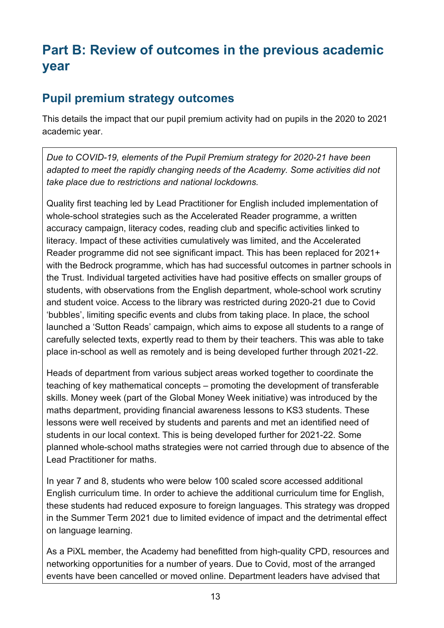# Part B: Review of outcomes in the previous academic year

#### Pupil premium strategy outcomes

This details the impact that our pupil premium activity had on pupils in the 2020 to 2021 academic year.

Due to COVID-19, elements of the Pupil Premium strategy for 2020-21 have been adapted to meet the rapidly changing needs of the Academy. Some activities did not take place due to restrictions and national lockdowns.

Quality first teaching led by Lead Practitioner for English included implementation of whole-school strategies such as the Accelerated Reader programme, a written accuracy campaign, literacy codes, reading club and specific activities linked to literacy. Impact of these activities cumulatively was limited, and the Accelerated Reader programme did not see significant impact. This has been replaced for 2021+ with the Bedrock programme, which has had successful outcomes in partner schools in the Trust. Individual targeted activities have had positive effects on smaller groups of students, with observations from the English department, whole-school work scrutiny and student voice. Access to the library was restricted during 2020-21 due to Covid 'bubbles', limiting specific events and clubs from taking place. In place, the school launched a 'Sutton Reads' campaign, which aims to expose all students to a range of carefully selected texts, expertly read to them by their teachers. This was able to take place in-school as well as remotely and is being developed further through 2021-22.

Heads of department from various subject areas worked together to coordinate the teaching of key mathematical concepts – promoting the development of transferable skills. Money week (part of the Global Money Week initiative) was introduced by the maths department, providing financial awareness lessons to KS3 students. These lessons were well received by students and parents and met an identified need of students in our local context. This is being developed further for 2021-22. Some planned whole-school maths strategies were not carried through due to absence of the Lead Practitioner for maths.

In year 7 and 8, students who were below 100 scaled score accessed additional English curriculum time. In order to achieve the additional curriculum time for English, these students had reduced exposure to foreign languages. This strategy was dropped in the Summer Term 2021 due to limited evidence of impact and the detrimental effect on language learning.

As a PiXL member, the Academy had benefitted from high-quality CPD, resources and networking opportunities for a number of years. Due to Covid, most of the arranged events have been cancelled or moved online. Department leaders have advised that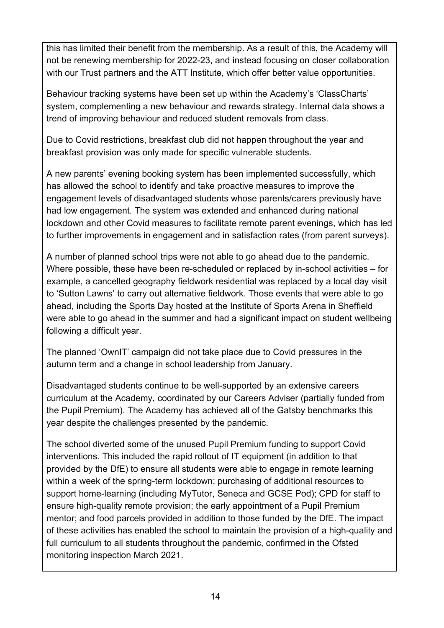this has limited their benefit from the membership. As a result of this, the Academy will not be renewing membership for 2022-23, and instead focusing on closer collaboration with our Trust partners and the ATT Institute, which offer better value opportunities.

Behaviour tracking systems have been set up within the Academy's 'ClassCharts' system, complementing a new behaviour and rewards strategy. Internal data shows a trend of improving behaviour and reduced student removals from class.

Due to Covid restrictions, breakfast club did not happen throughout the year and breakfast provision was only made for specific vulnerable students.

A new parents' evening booking system has been implemented successfully, which has allowed the school to identify and take proactive measures to improve the engagement levels of disadvantaged students whose parents/carers previously have had low engagement. The system was extended and enhanced during national lockdown and other Covid measures to facilitate remote parent evenings, which has led to further improvements in engagement and in satisfaction rates (from parent surveys).

A number of planned school trips were not able to go ahead due to the pandemic. Where possible, these have been re-scheduled or replaced by in-school activities – for example, a cancelled geography fieldwork residential was replaced by a local day visit to 'Sutton Lawns' to carry out alternative fieldwork. Those events that were able to go ahead, including the Sports Day hosted at the Institute of Sports Arena in Sheffield were able to go ahead in the summer and had a significant impact on student wellbeing following a difficult year.

The planned 'OwnIT' campaign did not take place due to Covid pressures in the autumn term and a change in school leadership from January.

Disadvantaged students continue to be well-supported by an extensive careers curriculum at the Academy, coordinated by our Careers Adviser (partially funded from the Pupil Premium). The Academy has achieved all of the Gatsby benchmarks this year despite the challenges presented by the pandemic.

The school diverted some of the unused Pupil Premium funding to support Covid interventions. This included the rapid rollout of IT equipment (in addition to that provided by the DfE) to ensure all students were able to engage in remote learning within a week of the spring-term lockdown; purchasing of additional resources to support home-learning (including MyTutor, Seneca and GCSE Pod); CPD for staff to ensure high-quality remote provision; the early appointment of a Pupil Premium mentor; and food parcels provided in addition to those funded by the DfE. The impact of these activities has enabled the school to maintain the provision of a high-quality and full curriculum to all students throughout the pandemic, confirmed in the Ofsted monitoring inspection March 2021.